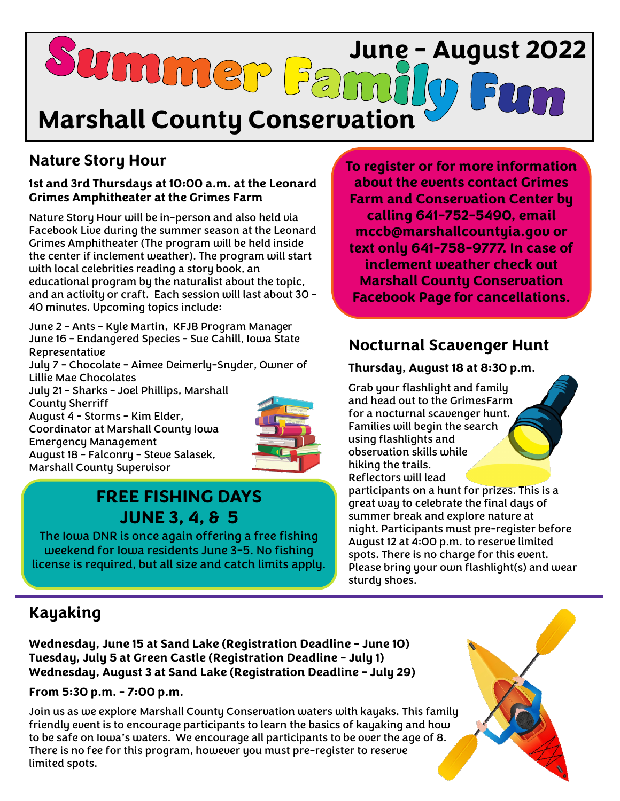

# **Nature Story Hour**

#### **1st and 3rd Thursdays at 10:00 a.m. at the Leonard Grimes Amphitheater at the Grimes Farm**

Nature Story Hour will be in-person and also held via Facebook Live during the summer season at the Leonard Grimes Amphitheater (The program will be held inside the center if inclement weather). The program will start with local celebrities reading a story book, an educational program by the naturalist about the topic, and an activity or craft. Each session will last about 30 - 40 minutes. Upcoming topics include:

June 2 - Ants - Kyle Martin, KFJB Program Manager June 16 - Endangered Species - Sue Cahill, Iowa State Representative

July 7 - Chocolate - Aimee Deimerly-Snyder, Owner of Lillie Mae Chocolates

July 21 - Sharks - Joel Phillips, Marshall County Sherriff August 4 - Storms - Kim Elder, Coordinator at Marshall County Iowa Emergency Management August 18 - Falconry - Steve Salasek, Marshall County Supervisor



# **FREE FISHING DAYS JUNE 3, 4, & 5**

The Iowa DNR is once again offering a free fishing weekend for Iowa residents June 3-5. No fishing license is required, but all size and catch limits apply. **To register or for more information about the events contact Grimes Farm and Conservation Center by calling 641-752-5490, email [mccb@marshallcountyia.gov](mailto:mccb@marshallcountyai.gov) or text only 641-758-9777. In case of inclement weather check out Marshall County Conservation Facebook Page for cancellations.**

## **Nocturnal Scavenger Hunt**

#### **Thursday, August 18 at 8:30 p.m.**

Grab your flashlight and family and head out to the GrimesFarm for a nocturnal scavenger hunt. Families will begin the search using flashlights and observation skills while hiking the trails. Reflectors will lead

participants on a hunt for prizes. This is a great way to celebrate the final days of summer break and explore nature at night. Participants must pre-register before August 12 at 4:00 p.m. to reserve limited spots. There is no charge for this event. Please bring your own flashlight(s) and wear sturdy shoes.

## **Kayaking**

**Wednesday, June 15 at Sand Lake (Registration Deadline - June 10) Tuesday, July 5 at Green Castle (Registration Deadline - July 1) Wednesday, August 3 at Sand Lake (Registration Deadline - July 29)**

**From 5:30 p.m. - 7:00 p.m.** 

Join us as we explore Marshall County Conservation waters with kayaks. This family friendly event is to encourage participants to learn the basics of kayaking and how to be safe on Iowa's waters. We encourage all participants to be over the age of 8. There is no fee for this program, however you must pre-register to reserve limited spots.